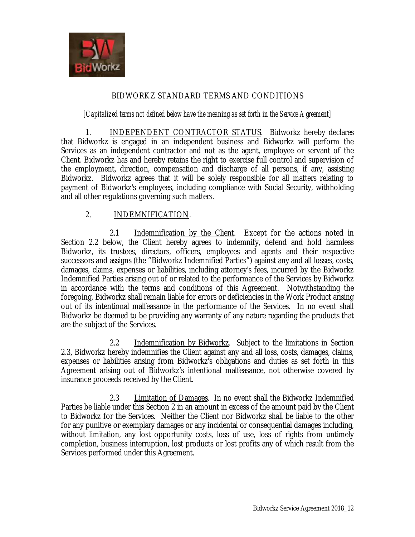

# BIDWORKZ STANDARD TERMS AND CONDITIONS

#### *[Capitalized terms not defined below have the meaning as set forth in the Service Agreement]*

1. INDEPENDENT CONTRACTOR STATUS. Bidworkz hereby declares that Bidworkz is engaged in an independent business and Bidworkz will perform the Services as an independent contractor and not as the agent, employee or servant of the Client. Bidworkz has and hereby retains the right to exercise full control and supervision of the employment, direction, compensation and discharge of all persons, if any, assisting Bidworkz. Bidworkz agrees that it will be solely responsible for all matters relating to payment of Bidworkz's employees, including compliance with Social Security, withholding and all other regulations governing such matters.

### 2. INDEMNIFICATION.

2.1 Indemnification by the Client. Except for the actions noted in Section 2.2 below, the Client hereby agrees to indemnify, defend and hold harmless Bidworkz, its trustees, directors, officers, employees and agents and their respective successors and assigns (the "Bidworkz Indemnified Parties") against any and all losses, costs, damages, claims, expenses or liabilities, including attorney's fees, incurred by the Bidworkz Indemnified Parties arising out of or related to the performance of the Services by Bidworkz in accordance with the terms and conditions of this Agreement. Notwithstanding the foregoing, Bidworkz shall remain liable for errors or deficiencies in the Work Product arising out of its intentional malfeasance in the performance of the Services. In no event shall Bidworkz be deemed to be providing any warranty of any nature regarding the products that are the subject of the Services.

2.2 Indemnification by Bidworkz. Subject to the limitations in Section 2.3, Bidworkz hereby indemnifies the Client against any and all loss, costs, damages, claims, expenses or liabilities arising from Bidworkz's obligations and duties as set forth in this Agreement arising out of Bidworkz's intentional malfeasance, not otherwise covered by insurance proceeds received by the Client.

2.3 Limitation of Damages. In no event shall the Bidworkz Indemnified Parties be liable under this Section 2 in an amount in excess of the amount paid by the Client to Bidworkz for the Services. Neither the Client nor Bidworkz shall be liable to the other for any punitive or exemplary damages or any incidental or consequential damages including, without limitation, any lost opportunity costs, loss of use, loss of rights from untimely completion, business interruption, lost products or lost profits any of which result from the Services performed under this Agreement.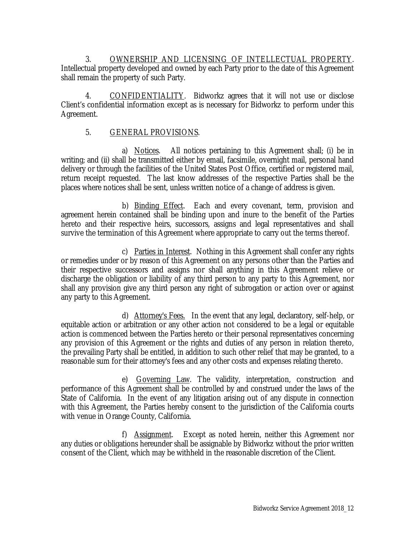3. OWNERSHIP AND LICENSING OF INTELLECTUAL PROPERTY. Intellectual property developed and owned by each Party prior to the date of this Agreement shall remain the property of such Party.

4. CONFIDENTIALITY. Bidworkz agrees that it will not use or disclose Client's confidential information except as is necessary for Bidworkz to perform under this Agreement.

## 5. GENERAL PROVISIONS.

a) Notices. All notices pertaining to this Agreement shall; (i) be in writing; and (ii) shall be transmitted either by email, facsimile, overnight mail, personal hand delivery or through the facilities of the United States Post Office, certified or registered mail, return receipt requested. The last know addresses of the respective Parties shall be the places where notices shall be sent, unless written notice of a change of address is given.

b) Binding Effect. Each and every covenant, term, provision and agreement herein contained shall be binding upon and inure to the benefit of the Parties hereto and their respective heirs, successors, assigns and legal representatives and shall survive the termination of this Agreement where appropriate to carry out the terms thereof.

c) Parties in Interest. Nothing in this Agreement shall confer any rights or remedies under or by reason of this Agreement on any persons other than the Parties and their respective successors and assigns nor shall anything in this Agreement relieve or discharge the obligation or liability of any third person to any party to this Agreement, nor shall any provision give any third person any right of subrogation or action over or against any party to this Agreement.

d) Attorney's Fees. In the event that any legal, declaratory, self-help, or equitable action or arbitration or any other action not considered to be a legal or equitable action is commenced between the Parties hereto or their personal representatives concerning any provision of this Agreement or the rights and duties of any person in relation thereto, the prevailing Party shall be entitled, in addition to such other relief that may be granted, to a reasonable sum for their attorney's fees and any other costs and expenses relating thereto.

e) Governing Law. The validity, interpretation, construction and performance of this Agreement shall be controlled by and construed under the laws of the State of California. In the event of any litigation arising out of any dispute in connection with this Agreement, the Parties hereby consent to the jurisdiction of the California courts with venue in Orange County, California.

f) Assignment. Except as noted herein, neither this Agreement nor any duties or obligations hereunder shall be assignable by Bidworkz without the prior written consent of the Client, which may be withheld in the reasonable discretion of the Client.